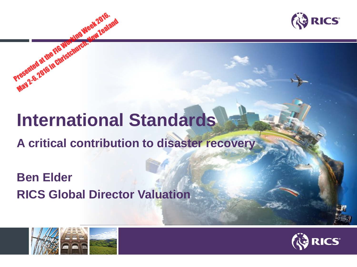



# **International Standards**

### **A critical contribution to disaster recovery**

### **Ben Elder RICS Global Director Valuation**



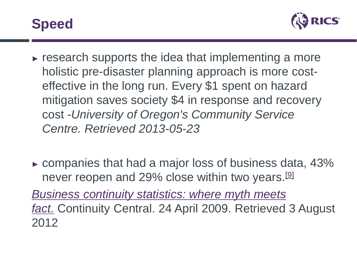



- $\triangleright$  research supports the idea that implementing a more holistic pre-disaster planning approach is more costeffective in the long run. Every \$1 spent on hazard mitigation saves society \$4 in response and recovery cost -*University of Oregon's Community Service Centre. Retrieved 2013-05-23*
- $\triangleright$  companies that had a major loss of business data, 43% never reopen and 29% close within two years.[\[9\]](https://en.wikipedia.org/wiki/Disaster_recovery#cite_note-9)

*[Business continuity statistics: where myth meets](http://www.continuitycentral.com/feature0660.html) fact.* Continuity Central. 24 April 2009. Retrieved 3 August 2012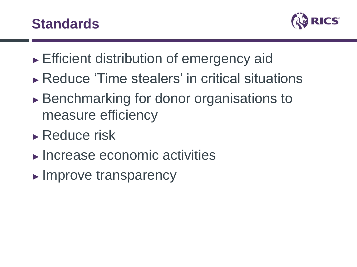

- ► Efficient distribution of emergency aid
- ► Reduce 'Time stealers' in critical situations
- ► Benchmarking for donor organisations to measure efficiency
- ► Reduce risk
- ► Increase economic activities
- ► Improve transparency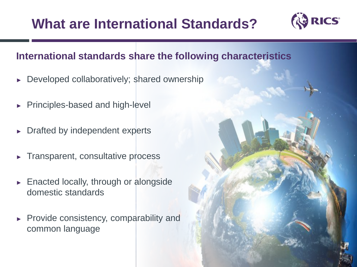## **What are International Standards?**



#### **International standards share the following characteristics**

- ► Developed collaboratively; shared ownership
- ► Principles-based and high-level
- ► Drafted by independent experts
- ► Transparent, consultative process
- ► Enacted locally, through or alongside domestic standards
- ► Provide consistency, comparability and common language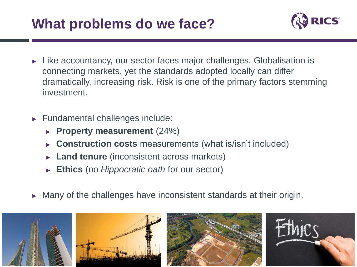### **What problems do we face?**



- ► Like accountancy, our sector faces major challenges. Globalisation is connecting markets, yet the standards adopted locally can differ dramatically, increasing risk. Risk is one of the primary factors stemming investment.
- ► Fundamental challenges include:
	- ► **Property measurement** (24%)
	- ► **Construction costs** measurements (what is/isn't included)
	- Land tenure (inconsistent across markets)
	- **Ethics** (no *Hippocratic oath* for our sector)
- Many of the challenges have inconsistent standards at their origin.

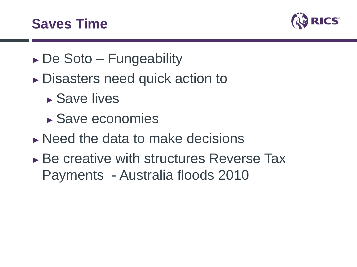### **Saves Time**



- ► De Soto Fungeability
- ► Disasters need quick action to
	- ► Save lives
	- ► Save economies
- $\triangleright$  Need the data to make decisions
- ► Be creative with structures Reverse Tax Payments - Australia floods 2010